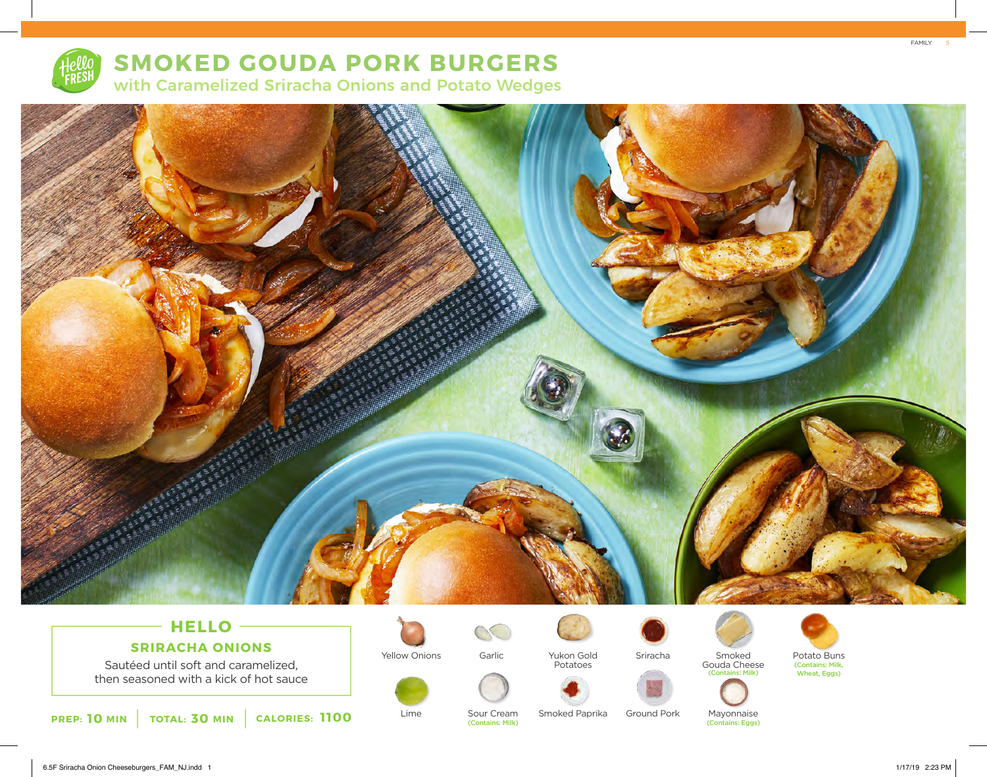

# **SMOKED GOUDA PORK BURGERS**

with Caramelized Sriracha Onions and Potato Wedges



## **HELLO SRIRACHA ONIONS**

Sautéed until soft and caramelized, then seasoned with a kick of hot sauce





Lime



(Contains: Milk)



Sriracha Yukon Gold



Sour Cream Smoked Paprika





Ground Pork

(Contains: Milk)









(Contains: Milk, Wheat, Eggs)



FAMILY

5